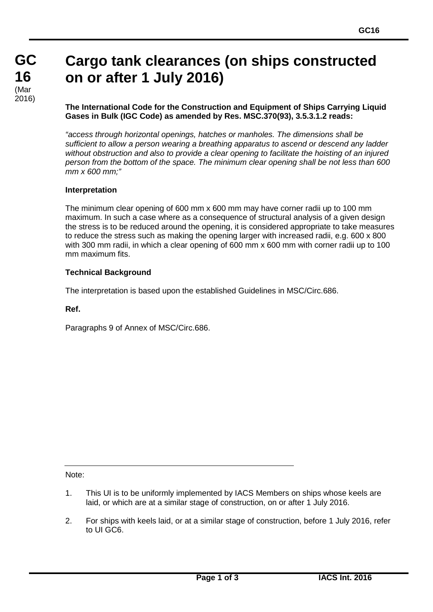# **Cargo tank clearances (on ships constructed on or after 1 July 2016)**

**The International Code for the Construction and Equipment of Ships Carrying Liquid Gases in Bulk (IGC Code) as amended by Res. MSC.370(93), 3.5.3.1.2 reads:**

*"access through horizontal openings, hatches or manholes. The dimensions shall be sufficient to allow a person wearing a breathing apparatus to ascend or descend any ladder without obstruction and also to provide a clear opening to facilitate the hoisting of an injured person from the bottom of the space. The minimum clear opening shall be not less than 600 mm x 600 mm;"*

## **Interpretation**

The minimum clear opening of 600 mm x 600 mm may have corner radii up to 100 mm maximum. In such a case where as a consequence of structural analysis of a given design the stress is to be reduced around the opening, it is considered appropriate to take measures to reduce the stress such as making the opening larger with increased radii, e.g. 600 x 800 with 300 mm radii, in which a clear opening of 600 mm x 600 mm with corner radii up to 100 mm maximum fits.

#### **Technical Background**

The interpretation is based upon the established Guidelines in MSC/Circ.686.

#### **Ref.**

Paragraphs 9 of Annex of MSC/Circ.686.

Note:

- 1. This UI is to be uniformly implemented by IACS Members on ships whose keels are laid, or which are at a similar stage of construction, on or after 1 July 2016.
- 2. For ships with keels laid, or at a similar stage of construction, before 1 July 2016, refer to UI GC6.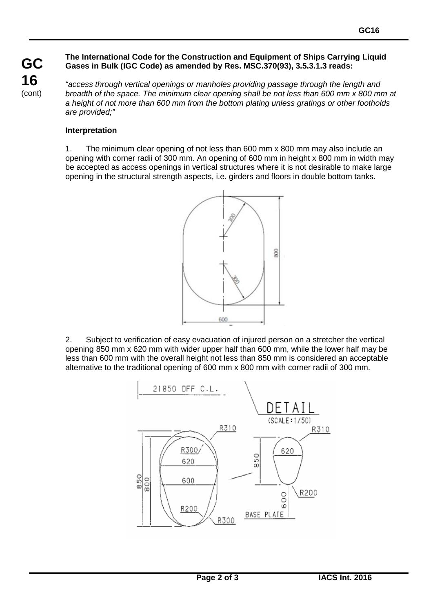#### **The International Code for the Construction and Equipment of Ships Carrying Liquid Gases in Bulk (IGC Code) as amended by Res. MSC.370(93), 3.5.3.1.3 reads:**

**GC 16** (cont)

*"access through vertical openings or manholes providing passage through the length and breadth of the space. The minimum clear opening shall be not less than 600 mm x 800 mm at a height of not more than 600 mm from the bottom plating unless gratings or other footholds are provided;"*

### **Interpretation**

1. The minimum clear opening of not less than 600 mm x 800 mm may also include an opening with corner radii of 300 mm. An opening of 600 mm in height x 800 mm in width may be accepted as access openings in vertical structures where it is not desirable to make large opening in the structural strength aspects, i.e. girders and floors in double bottom tanks.



2. Subject to verification of easy evacuation of injured person on a stretcher the vertical opening 850 mm x 620 mm with wider upper half than 600 mm, while the lower half may be less than 600 mm with the overall height not less than 850 mm is considered an acceptable alternative to the traditional opening of 600 mm x 800 mm with corner radii of 300 mm.